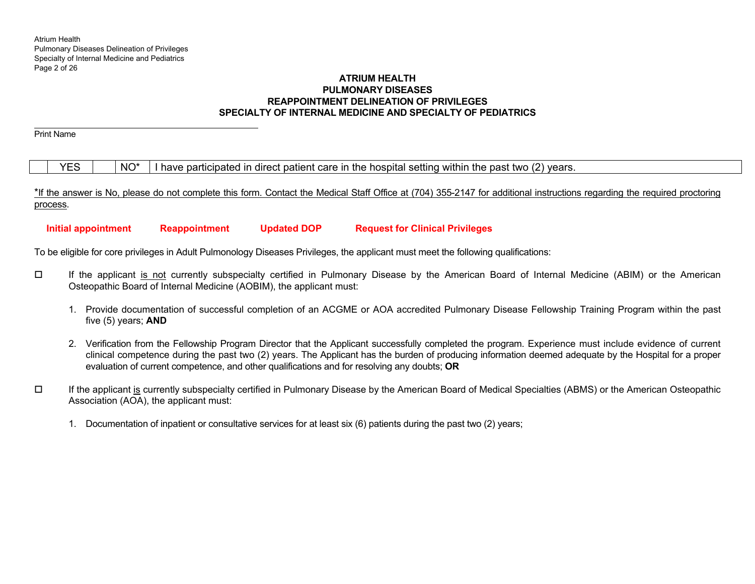# **ATRIUM HEALTH PULMONARY DISEASES REAPPOINTMENT DELINEATION OF PRIVILEGES SPECIALTY OF INTERNAL MEDICINE AND SPECIALTY OF PEDIATRICS**

Print Name

# $YES \mid NO^* \mid I$  have participated in direct patient care in the hospital setting within the past two (2) years.

\*If the answer is No, please do not complete this form. Contact the Medical Staff Office at (704) 355-2147 for additional instructions regarding the required proctoring process.

 **Initial appointment Reappointment Updated DOP Request for Clinical Privileges** 

To be eligible for core privileges in Adult Pulmonology Diseases Privileges, the applicant must meet the following qualifications:

- $\Box$  If the applicant is not currently subspecialty certified in Pulmonary Disease by the American Board of Internal Medicine (ABIM) or the American Osteopathic Board of Internal Medicine (AOBIM), the applicant must:
	- 1. Provide documentation of successful completion of an ACGME or AOA accredited Pulmonary Disease Fellowship Training Program within the past five (5) years; **AND**
	- 2. Verification from the Fellowship Program Director that the Applicant successfully completed the program. Experience must include evidence of current clinical competence during the past two (2) years. The Applicant has the burden of producing information deemed adequate by the Hospital for a proper evaluation of current competence, and other qualifications and for resolving any doubts; **OR**
- $\Box$  If the applicant is currently subspecialty certified in Pulmonary Disease by the American Board of Medical Specialties (ABMS) or the American Osteopathic Association (AOA), the applicant must:
	- 1. Documentation of inpatient or consultative services for at least six (6) patients during the past two (2) years;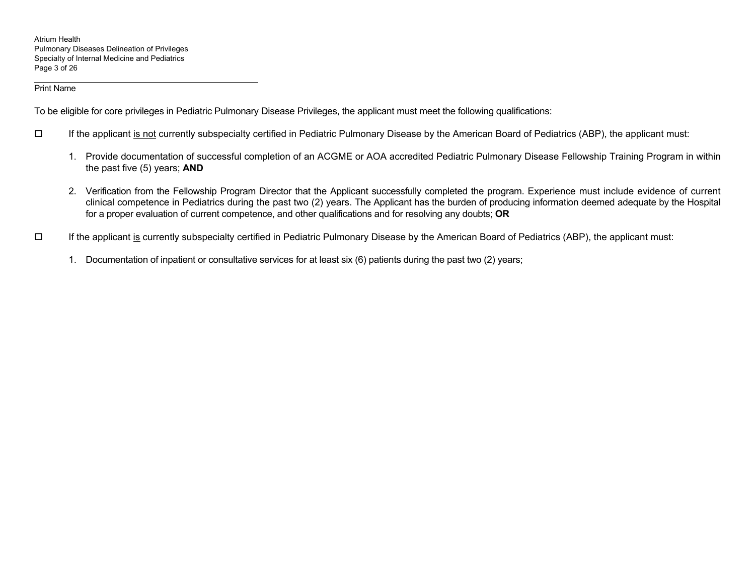To be eligible for core privileges in Pediatric Pulmonary Disease Privileges, the applicant must meet the following qualifications:

- $\Box$  If the applicant is not currently subspecialty certified in Pediatric Pulmonary Disease by the American Board of Pediatrics (ABP), the applicant must:
	- 1. Provide documentation of successful completion of an ACGME or AOA accredited Pediatric Pulmonary Disease Fellowship Training Program in within the past five (5) years; **AND**
	- 2. Verification from the Fellowship Program Director that the Applicant successfully completed the program. Experience must include evidence of current clinical competence in Pediatrics during the past two (2) years. The Applicant has the burden of producing information deemed adequate by the Hospital for a proper evaluation of current competence, and other qualifications and for resolving any doubts; **OR**
- $\Box$  If the applicant is currently subspecialty certified in Pediatric Pulmonary Disease by the American Board of Pediatrics (ABP), the applicant must:
	- 1. Documentation of inpatient or consultative services for at least six (6) patients during the past two (2) years;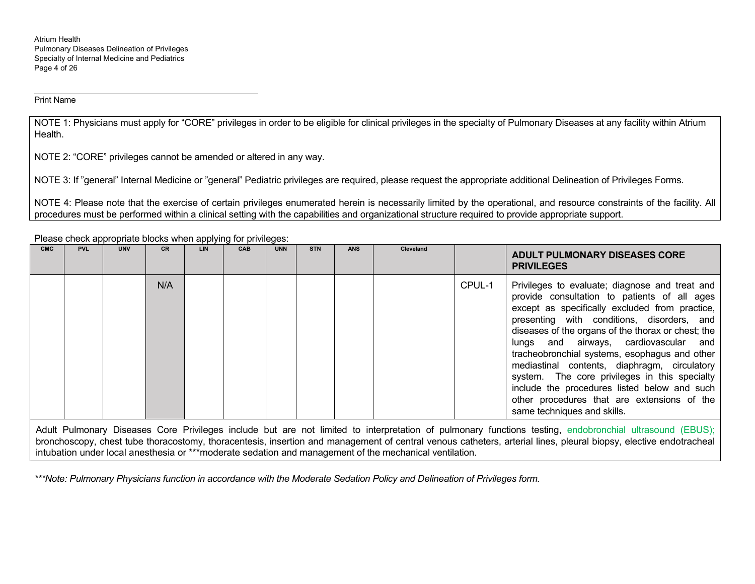NOTE 1: Physicians must apply for "CORE" privileges in order to be eligible for clinical privileges in the specialty of Pulmonary Diseases at any facility within Atrium Health.

NOTE 2: "CORE" privileges cannot be amended or altered in any way.

NOTE 3: If "general" Internal Medicine or "general" Pediatric privileges are required, please request the appropriate additional Delineation of Privileges Forms.

NOTE 4: Please note that the exercise of certain privileges enumerated herein is necessarily limited by the operational, and resource constraints of the facility. All procedures must be performed within a clinical setting with the capabilities and organizational structure required to provide appropriate support.

**CMC PVL UNV CR LIN CAB UNN STN ANS Cleveland ADULT PULMONARY DISEASES CORE PRIVILEGES** N/A CPUL-1 Privileges to evaluate; diagnose and treat and provide consultation to patients of all ages except as specifically excluded from practice, presenting with conditions, disorders, and diseases of the organs of the thorax or chest; the lungs and airways, cardiovascular and tracheobronchial systems, esophagus and other mediastinal contents, diaphragm, circulatory system. The core privileges in this specialty include the procedures listed below and such other procedures that are extensions of the same techniques and skills.

Please check appropriate blocks when applying for privileges:

Adult Pulmonary Diseases Core Privileges include but are not limited to interpretation of pulmonary functions testing, endobronchial ultrasound (EBUS); bronchoscopy, chest tube thoracostomy, thoracentesis, insertion and management of central venous catheters, arterial lines, pleural biopsy, elective endotracheal intubation under local anesthesia or \*\*\*moderate sedation and management of the mechanical ventilation.

*\*\*\*Note: Pulmonary Physicians function in accordance with the Moderate Sedation Policy and Delineation of Privileges form.*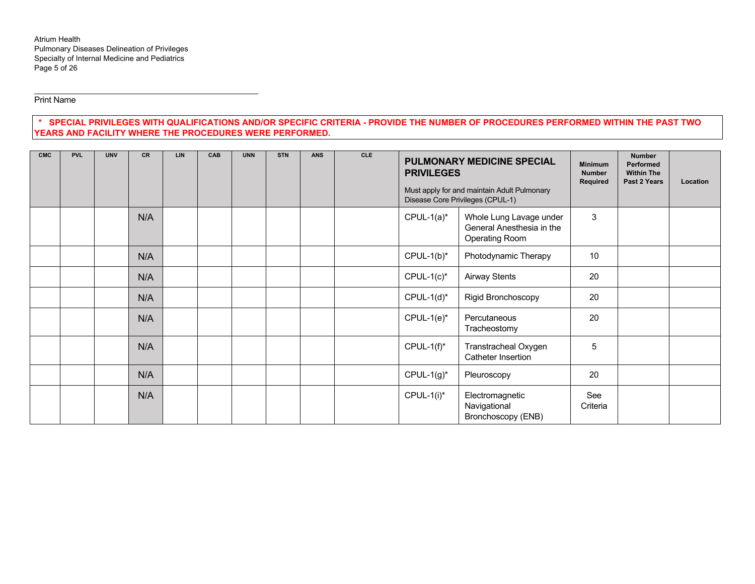# **\* SPECIAL PRIVILEGES WITH QUALIFICATIONS AND/OR SPECIFIC CRITERIA - PROVIDE THE NUMBER OF PROCEDURES PERFORMED WITHIN THE PAST TWO YEARS AND FACILITY WHERE THE PROCEDURES WERE PERFORMED.**

| <b>CMC</b> | <b>PVL</b> | <b>UNV</b> | <b>CR</b> | <b>LIN</b> | CAB | <b>UNN</b> | <b>STN</b> | <b>ANS</b> | <b>CLE</b> |               | <b>PULMONARY MEDICINE SPECIAL</b><br><b>PRIVILEGES</b><br>Must apply for and maintain Adult Pulmonary<br>Disease Core Privileges (CPUL-1) |                 | <b>Number</b><br><b>Performed</b><br><b>Within The</b><br>Past 2 Years | Location |
|------------|------------|------------|-----------|------------|-----|------------|------------|------------|------------|---------------|-------------------------------------------------------------------------------------------------------------------------------------------|-----------------|------------------------------------------------------------------------|----------|
|            |            |            | N/A       |            |     |            |            |            |            | $CPUL-1(a)$ * | Whole Lung Lavage under<br>General Anesthesia in the<br>Operating Room                                                                    | 3               |                                                                        |          |
|            |            |            | N/A       |            |     |            |            |            |            | $CPUL-1(b)^*$ | Photodynamic Therapy                                                                                                                      | 10              |                                                                        |          |
|            |            |            | N/A       |            |     |            |            |            |            | $CPUL-1(c)*$  | <b>Airway Stents</b>                                                                                                                      | 20              |                                                                        |          |
|            |            |            | N/A       |            |     |            |            |            |            | $CPUL-1(d)^*$ | Rigid Bronchoscopy                                                                                                                        | 20              |                                                                        |          |
|            |            |            | N/A       |            |     |            |            |            |            | $CPUL-1(e)^*$ | Percutaneous<br>Tracheostomy                                                                                                              | 20              |                                                                        |          |
|            |            |            | N/A       |            |     |            |            |            |            | $CPUL-1(f)^*$ | Transtracheal Oxygen<br>Catheter Insertion                                                                                                | 5               |                                                                        |          |
|            |            |            | N/A       |            |     |            |            |            |            | $CPUL-1(g)^*$ | Pleuroscopy                                                                                                                               | 20              |                                                                        |          |
|            |            |            | N/A       |            |     |            |            |            |            | $CPUL-1(i)$ * | Electromagnetic<br>Navigational<br>Bronchoscopy (ENB)                                                                                     | See<br>Criteria |                                                                        |          |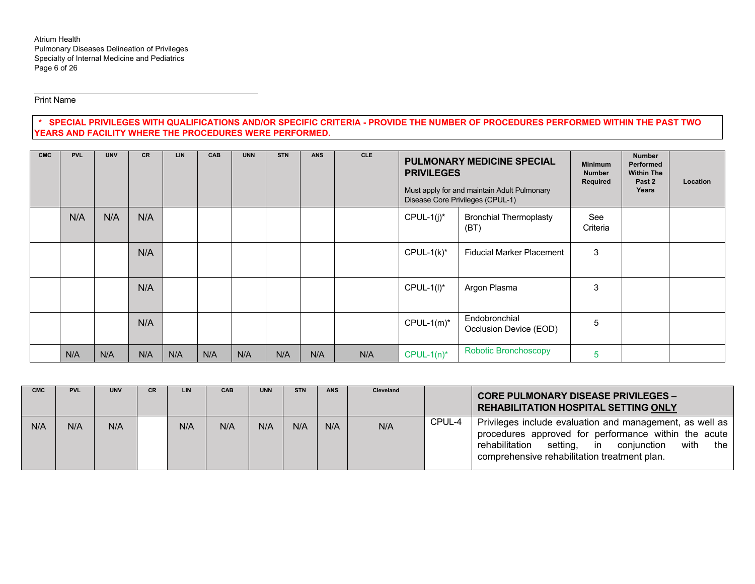Atrium Health Pulmonary Diseases Delineation of Privileges Specialty of Internal Medicine and Pediatrics Page 6 of 26

Print Name

# **\* SPECIAL PRIVILEGES WITH QUALIFICATIONS AND/OR SPECIFIC CRITERIA - PROVIDE THE NUMBER OF PROCEDURES PERFORMED WITHIN THE PAST TWO YEARS AND FACILITY WHERE THE PROCEDURES WERE PERFORMED.**

| <b>CMC</b> | <b>PVL</b> | <b>UNV</b> | <b>CR</b> | <b>LIN</b> | <b>CAB</b> | <b>UNN</b> | <b>STN</b> | <b>ANS</b> | <b>CLE</b> |               | <b>PULMONARY MEDICINE SPECIAL</b><br><b>PRIVILEGES</b><br>Must apply for and maintain Adult Pulmonary<br>Disease Core Privileges (CPUL-1) |                 | <b>Number</b><br>Performed<br><b>Within The</b><br>Past 2<br>Years | Location |
|------------|------------|------------|-----------|------------|------------|------------|------------|------------|------------|---------------|-------------------------------------------------------------------------------------------------------------------------------------------|-----------------|--------------------------------------------------------------------|----------|
|            | N/A        | N/A        | N/A       |            |            |            |            |            |            | $CPUL-1(j)^*$ | <b>Bronchial Thermoplasty</b><br>(BT)                                                                                                     | See<br>Criteria |                                                                    |          |
|            |            |            | N/A       |            |            |            |            |            |            | $CPUL-1(k)*$  | <b>Fiducial Marker Placement</b>                                                                                                          | 3               |                                                                    |          |
|            |            |            | N/A       |            |            |            |            |            |            | $CPUL-1(I)^*$ | Argon Plasma                                                                                                                              | 3               |                                                                    |          |
|            |            |            | N/A       |            |            |            |            |            |            | $CPUL-1(m)^*$ | Endobronchial<br>Occlusion Device (EOD)                                                                                                   | 5               |                                                                    |          |
|            | N/A        | N/A        | N/A       | N/A        | N/A        | N/A        | N/A        | N/A        | N/A        | $CPUL-1(n)*$  | <b>Robotic Bronchoscopy</b>                                                                                                               | 5               |                                                                    |          |

| <b>CMC</b> | <b>PVL</b> | <b>UNV</b> | CR. | LIN | <b>CAB</b> | <b>UNN</b> | <b>STN</b> | <b>ANS</b> | <b>Cleveland</b> |        | <b>CORE PULMONARY DISEASE PRIVILEGES -</b><br><b>REHABILITATION HOSPITAL SETTING ONLY</b>                                                                                                                                       |
|------------|------------|------------|-----|-----|------------|------------|------------|------------|------------------|--------|---------------------------------------------------------------------------------------------------------------------------------------------------------------------------------------------------------------------------------|
| N/A        | N/A        | N/A        |     | N/A | N/A        | N/A        | N/A        | N/A        | N/A              | CPUL-4 | Privileges include evaluation and management, as well as<br>procedures approved for performance within the acute<br>with<br>rehabilitation<br>setting, in<br>conjunction<br>the<br>comprehensive rehabilitation treatment plan. |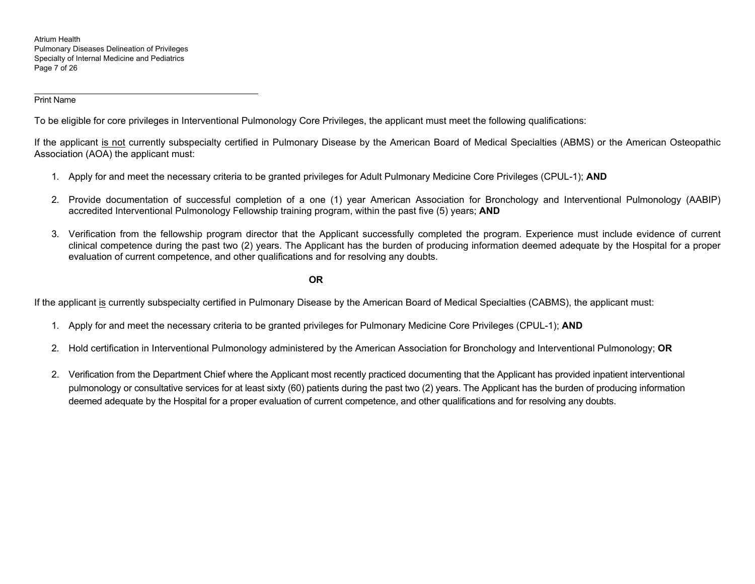Atrium Health Pulmonary Diseases Delineation of Privileges Specialty of Internal Medicine and Pediatrics Page 7 of 26

Print Name

To be eligible for core privileges in Interventional Pulmonology Core Privileges, the applicant must meet the following qualifications:

If the applicant is not currently subspecialty certified in Pulmonary Disease by the American Board of Medical Specialties (ABMS) or the American Osteopathic Association (AOA) the applicant must:

- 1. Apply for and meet the necessary criteria to be granted privileges for Adult Pulmonary Medicine Core Privileges (CPUL-1); **AND**
- 2. Provide documentation of successful completion of a one (1) year American Association for Bronchology and Interventional Pulmonology (AABIP) accredited Interventional Pulmonology Fellowship training program, within the past five (5) years; **AND**
- 3. Verification from the fellowship program director that the Applicant successfully completed the program. Experience must include evidence of current clinical competence during the past two (2) years. The Applicant has the burden of producing information deemed adequate by the Hospital for a proper evaluation of current competence, and other qualifications and for resolving any doubts.

**OR**

If the applicant is currently subspecialty certified in Pulmonary Disease by the American Board of Medical Specialties (CABMS), the applicant must:

- 1. Apply for and meet the necessary criteria to be granted privileges for Pulmonary Medicine Core Privileges (CPUL-1); **AND**
- 2. Hold certification in Interventional Pulmonology administered by the American Association for Bronchology and Interventional Pulmonology; **OR**
- 2. Verification from the Department Chief where the Applicant most recently practiced documenting that the Applicant has provided inpatient interventional pulmonology or consultative services for at least sixty (60) patients during the past two (2) years. The Applicant has the burden of producing information deemed adequate by the Hospital for a proper evaluation of current competence, and other qualifications and for resolving any doubts.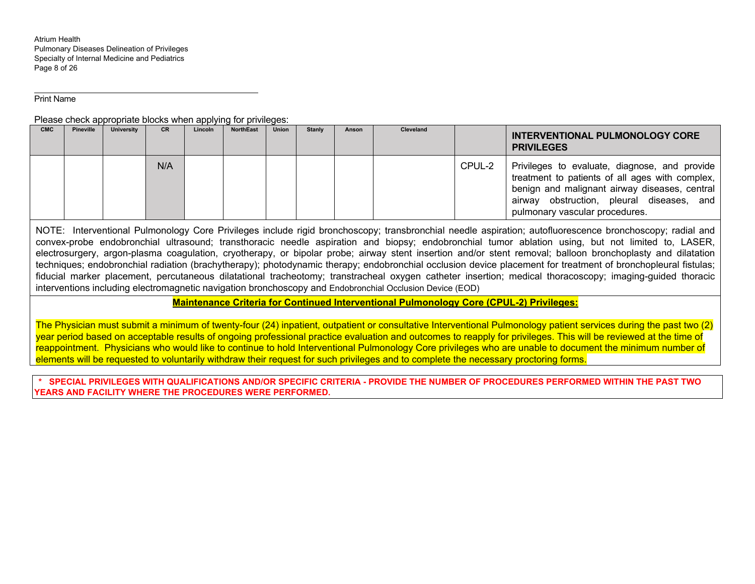Atrium Health Pulmonary Diseases Delineation of Privileges Specialty of Internal Medicine and Pediatrics Page 8 of 26

Print Name

Please check appropriate blocks when applying for privileges:

| <b>CMC</b> | <b>Pineville</b> | University | <b>CR</b> | Lincoln | <b>NorthEast</b> | <b>Union</b> | <b>Stanly</b> | Anson | <b>Cleveland</b> |        | INTERVENTIONAL PULMONOLOGY CORE<br><b>PRIVILEGES</b>                                                                                                                                                                             |
|------------|------------------|------------|-----------|---------|------------------|--------------|---------------|-------|------------------|--------|----------------------------------------------------------------------------------------------------------------------------------------------------------------------------------------------------------------------------------|
|            |                  |            | N/A       |         |                  |              |               |       |                  | CPUL-2 | Privileges to evaluate, diagnose, and provide<br>treatment to patients of all ages with complex,<br>benign and malignant airway diseases, central<br>airway obstruction, pleural diseases, and<br>pulmonary vascular procedures. |

NOTE: Interventional Pulmonology Core Privileges include rigid bronchoscopy; transbronchial needle aspiration; autofluorescence bronchoscopy; radial and convex-probe endobronchial ultrasound; transthoracic needle aspiration and biopsy; endobronchial tumor ablation using, but not limited to, LASER, electrosurgery, argon-plasma coagulation, cryotherapy, or bipolar probe; airway stent insertion and/or stent removal; balloon bronchoplasty and dilatation techniques; endobronchial radiation (brachytherapy); photodynamic therapy; endobronchial occlusion device placement for treatment of bronchopleural fistulas; fiducial marker placement, percutaneous dilatational tracheotomy; transtracheal oxygen catheter insertion; medical thoracoscopy; imaging-guided thoracic interventions including electromagnetic navigation bronchoscopy and Endobronchial Occlusion Device (EOD)

**Maintenance Criteria for Continued Interventional Pulmonology Core (CPUL-2) Privileges:** 

The Physician must submit a minimum of twenty-four (24) inpatient, outpatient or consultative Interventional Pulmonology patient services during the past two (2) year period based on acceptable results of ongoing professional practice evaluation and outcomes to reapply for privileges. This will be reviewed at the time of reappointment. Physicians who would like to continue to hold Interventional Pulmonology Core privileges who are unable to document the minimum number of elements will be requested to voluntarily withdraw their request for such privileges and to complete the necessary proctoring forms.

**\* SPECIAL PRIVILEGES WITH QUALIFICATIONS AND/OR SPECIFIC CRITERIA - PROVIDE THE NUMBER OF PROCEDURES PERFORMED WITHIN THE PAST TWO YEARS AND FACILITY WHERE THE PROCEDURES WERE PERFORMED.**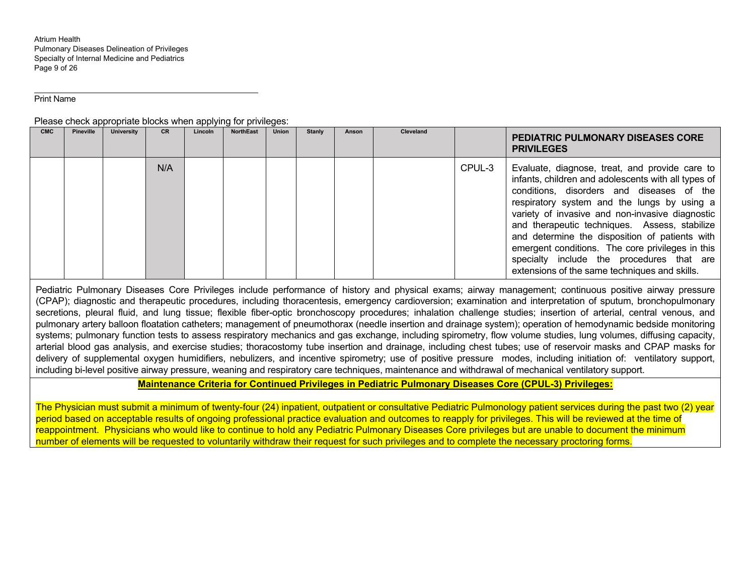Atrium Health Pulmonary Diseases Delineation of Privileges Specialty of Internal Medicine and Pediatrics Page 9 of 26

Print Name

#### Please check appropriate blocks when applying for privileges:

| <b>CMC</b> | <b>Pineville</b> | <b>University</b> | <b>CR</b> | .<br>Lincoln | <b>NorthEast</b> | <b>Union</b> | <b>Stanly</b> | Anson | <b>Cleveland</b> |        | <b>PEDIATRIC PULMONARY DISEASES CORE</b><br><b>PRIVILEGES</b>                                                                                                                                                                                                                                                                                                                                                                                                                                             |
|------------|------------------|-------------------|-----------|--------------|------------------|--------------|---------------|-------|------------------|--------|-----------------------------------------------------------------------------------------------------------------------------------------------------------------------------------------------------------------------------------------------------------------------------------------------------------------------------------------------------------------------------------------------------------------------------------------------------------------------------------------------------------|
|            |                  |                   | N/A       |              |                  |              |               |       |                  | CPUL-3 | Evaluate, diagnose, treat, and provide care to<br>infants, children and adolescents with all types of<br>conditions, disorders and diseases of the<br>respiratory system and the lungs by using a<br>variety of invasive and non-invasive diagnostic<br>and therapeutic techniques. Assess, stabilize<br>and determine the disposition of patients with<br>emergent conditions. The core privileges in this<br>specialty include the procedures that are<br>extensions of the same techniques and skills. |

Pediatric Pulmonary Diseases Core Privileges include performance of history and physical exams; airway management; continuous positive airway pressure (CPAP); diagnostic and therapeutic procedures, including thoracentesis, emergency cardioversion; examination and interpretation of sputum, bronchopulmonary secretions, pleural fluid, and lung tissue; flexible fiber-optic bronchoscopy procedures; inhalation challenge studies; insertion of arterial, central venous, and pulmonary artery balloon floatation catheters; management of pneumothorax (needle insertion and drainage system); operation of hemodynamic bedside monitoring systems; pulmonary function tests to assess respiratory mechanics and gas exchange, including spirometry, flow volume studies, lung volumes, diffusing capacity, arterial blood gas analysis, and exercise studies; thoracostomy tube insertion and drainage, including chest tubes; use of reservoir masks and CPAP masks for delivery of supplemental oxygen humidifiers, nebulizers, and incentive spirometry; use of positive pressure modes, including initiation of: ventilatory support, including bi-level positive airway pressure, weaning and respiratory care techniques, maintenance and withdrawal of mechanical ventilatory support.

# **Maintenance Criteria for Continued Privileges in Pediatric Pulmonary Diseases Core (CPUL-3) Privileges:**

The Physician must submit a minimum of twenty-four (24) inpatient, outpatient or consultative Pediatric Pulmonology patient services during the past two (2) year period based on acceptable results of ongoing professional practice evaluation and outcomes to reapply for privileges. This will be reviewed at the time of reappointment. Physicians who would like to continue to hold any Pediatric Pulmonary Diseases Core privileges but are unable to document the minimum number of elements will be requested to voluntarily withdraw their request for such privileges and to complete the necessary proctoring forms.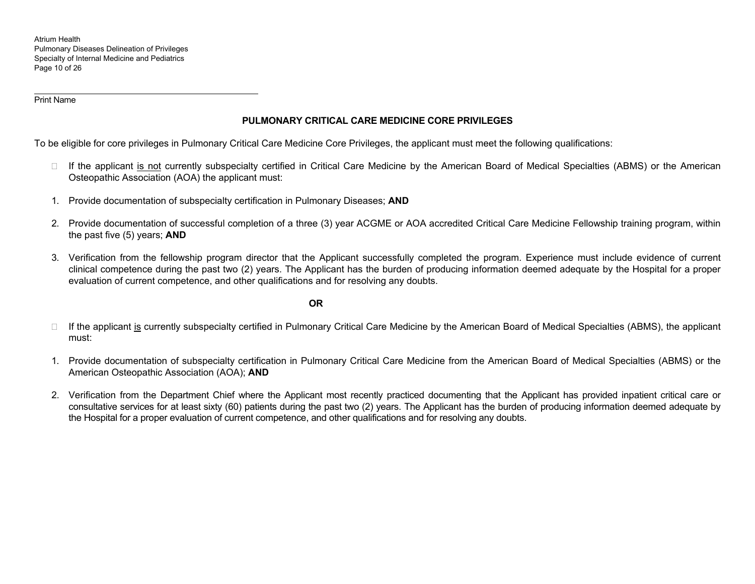Atrium Health Pulmonary Diseases Delineation of Privileges Specialty of Internal Medicine and Pediatrics Page 10 of 26

Print Name

# **PULMONARY CRITICAL CARE MEDICINE CORE PRIVILEGES**

To be eligible for core privileges in Pulmonary Critical Care Medicine Core Privileges, the applicant must meet the following qualifications:

- □ If the applicant is not currently subspecialty certified in Critical Care Medicine by the American Board of Medical Specialties (ABMS) or the American Osteopathic Association (AOA) the applicant must:
- 1. Provide documentation of subspecialty certification in Pulmonary Diseases; **AND**
- 2. Provide documentation of successful completion of a three (3) year ACGME or AOA accredited Critical Care Medicine Fellowship training program, within the past five (5) years; **AND**
- 3. Verification from the fellowship program director that the Applicant successfully completed the program. Experience must include evidence of current clinical competence during the past two (2) years. The Applicant has the burden of producing information deemed adequate by the Hospital for a proper evaluation of current competence, and other qualifications and for resolving any doubts.

# **OR**

- □ If the applicant is currently subspecialty certified in Pulmonary Critical Care Medicine by the American Board of Medical Specialties (ABMS), the applicant must:
- 1. Provide documentation of subspecialty certification in Pulmonary Critical Care Medicine from the American Board of Medical Specialties (ABMS) or the American Osteopathic Association (AOA); **AND**
- 2. Verification from the Department Chief where the Applicant most recently practiced documenting that the Applicant has provided inpatient critical care or consultative services for at least sixty (60) patients during the past two (2) years. The Applicant has the burden of producing information deemed adequate by the Hospital for a proper evaluation of current competence, and other qualifications and for resolving any doubts.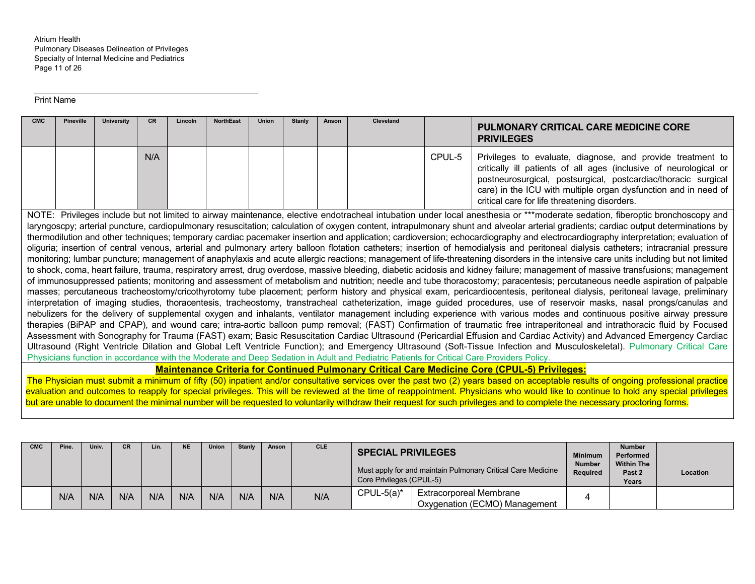| <b>CMC</b> | <b>Pineville</b> | <b>University</b> | CR. | Lincoln | <b>NorthEast</b> | <b>Union</b> | <b>Stanly</b> | Anson | Cleveland |        | <b>PULMONARY CRITICAL CARE MEDICINE CORE</b>                                                                                                                                                                                                                                                                                                                                                                                                                                                                                                                                                                                                                                                                                                                                                                                                                                                                                                                                                                                                                                                                                                                                                                                                                                                                                                                                                                                                                                                                                                                                                                                                                                                                                                                                                                                                                                                                                                                                                                                                                                                                                                                                                                                                                                                                                                                                                                                                                                                                                 |
|------------|------------------|-------------------|-----|---------|------------------|--------------|---------------|-------|-----------|--------|------------------------------------------------------------------------------------------------------------------------------------------------------------------------------------------------------------------------------------------------------------------------------------------------------------------------------------------------------------------------------------------------------------------------------------------------------------------------------------------------------------------------------------------------------------------------------------------------------------------------------------------------------------------------------------------------------------------------------------------------------------------------------------------------------------------------------------------------------------------------------------------------------------------------------------------------------------------------------------------------------------------------------------------------------------------------------------------------------------------------------------------------------------------------------------------------------------------------------------------------------------------------------------------------------------------------------------------------------------------------------------------------------------------------------------------------------------------------------------------------------------------------------------------------------------------------------------------------------------------------------------------------------------------------------------------------------------------------------------------------------------------------------------------------------------------------------------------------------------------------------------------------------------------------------------------------------------------------------------------------------------------------------------------------------------------------------------------------------------------------------------------------------------------------------------------------------------------------------------------------------------------------------------------------------------------------------------------------------------------------------------------------------------------------------------------------------------------------------------------------------------------------------|
|            |                  |                   |     |         |                  |              |               |       |           |        | <b>PRIVILEGES</b>                                                                                                                                                                                                                                                                                                                                                                                                                                                                                                                                                                                                                                                                                                                                                                                                                                                                                                                                                                                                                                                                                                                                                                                                                                                                                                                                                                                                                                                                                                                                                                                                                                                                                                                                                                                                                                                                                                                                                                                                                                                                                                                                                                                                                                                                                                                                                                                                                                                                                                            |
|            |                  |                   | N/A |         |                  |              |               |       |           | CPUL-5 | Privileges to evaluate, diagnose, and provide treatment to<br>critically ill patients of all ages (inclusive of neurological or<br>postneurosurgical, postsurgical, postcardiac/thoracic surgical<br>care) in the ICU with multiple organ dysfunction and in need of<br>critical care for life threatening disorders.                                                                                                                                                                                                                                                                                                                                                                                                                                                                                                                                                                                                                                                                                                                                                                                                                                                                                                                                                                                                                                                                                                                                                                                                                                                                                                                                                                                                                                                                                                                                                                                                                                                                                                                                                                                                                                                                                                                                                                                                                                                                                                                                                                                                        |
|            |                  |                   |     |         |                  |              |               |       |           |        | NOTE: Privileges include but not limited to airway maintenance, elective endotracheal intubation under local anesthesia or ***moderate sedation, fiberoptic bronchoscopy and<br>laryngoscpy; arterial puncture, cardiopulmonary resuscitation; calculation of oxygen content, intrapulmonary shunt and alveolar arterial gradients; cardiac output determinations by<br>thermodilution and other techniques; temporary cardiac pacemaker insertion and application; cardioversion; echocardiography and electrocardiography interpretation; evaluation of<br>oliguria; insertion of central venous, arterial and pulmonary artery balloon flotation catheters; insertion of hemodialysis and peritoneal dialysis catheters; intracranial pressure<br>monitoring; lumbar puncture; management of anaphylaxis and acute allergic reactions; management of life-threatening disorders in the intensive care units including but not limited<br>to shock, coma, heart failure, trauma, respiratory arrest, drug overdose, massive bleeding, diabetic acidosis and kidney failure; management of massive transfusions; management<br>of immunosuppressed patients; monitoring and assessment of metabolism and nutrition; needle and tube thoracostomy; paracentesis; percutaneous needle aspiration of palpable<br>masses; percutaneous tracheostomy/cricothyrotomy tube placement; perform history and physical exam, pericardiocentesis, peritoneal dialysis, peritoneal lavage, preliminary<br>interpretation of imaging studies, thoracentesis, tracheostomy, transtracheal catheterization, image guided procedures, use of reservoir masks, nasal prongs/canulas and<br>nebulizers for the delivery of supplemental oxygen and inhalants, ventilator management including experience with various modes and continuous positive airway pressure<br>therapies (BiPAP and CPAP), and wound care; intra-aortic balloon pump removal; (FAST) Confirmation of traumatic free intraperitoneal and intrathoracic fluid by Focused<br>Assessment with Sonography for Trauma (FAST) exam; Basic Resuscitation Cardiac Ultrasound (Pericardial Effusion and Cardiac Activity) and Advanced Emergency Cardiac<br>Ultrasound (Right Ventricle Dilation and Global Left Ventricle Function); and Emergency Ultrasound (Soft-Tissue Infection and Musculoskeletal). Pulmonary Critical Care<br>Physicians function in accordance with the Moderate and Deep Sedation in Adult and Pediatric Patients for Critical Care Providers Policy. |
|            |                  |                   |     |         |                  |              |               |       |           |        | <b>Maintenance Criteria for Continued Pulmonary Critical Care Medicine Core (CPUL-5) Privileges:</b>                                                                                                                                                                                                                                                                                                                                                                                                                                                                                                                                                                                                                                                                                                                                                                                                                                                                                                                                                                                                                                                                                                                                                                                                                                                                                                                                                                                                                                                                                                                                                                                                                                                                                                                                                                                                                                                                                                                                                                                                                                                                                                                                                                                                                                                                                                                                                                                                                         |

#### **Maintenance Criteria for Continued Pulmonary Critical Care Medicine Core (CPUL-5) Privileges:**

The Physician must submit a minimum of fifty (50) inpatient and/or consultative services over the past two (2) years based on acceptable results of ongoing professional practice evaluation and outcomes to reapply for special privileges. This will be reviewed at the time of reappointment. Physicians who would like to continue to hold any special privileges but are unable to document the minimal number will be requested to voluntarily withdraw their request for such privileges and to complete the necessary proctoring forms.

| <b>CMC</b> | Pine. | Univ. | СR  | Lin. | <b>NE</b> | <b>Union</b> | <b>Stanly</b> | Anson | <b>CLE</b> | <b>SPECIAL PRIVILEGES</b><br>Core Privileges (CPUL-5) | Must apply for and maintain Pulmonary Critical Care Medicine    | <b>Minimum</b><br><b>Number</b><br>Required | <b>Number</b><br>Performed<br><b>Within The</b><br>Past 2<br>Years | <b>Location</b> |
|------------|-------|-------|-----|------|-----------|--------------|---------------|-------|------------|-------------------------------------------------------|-----------------------------------------------------------------|---------------------------------------------|--------------------------------------------------------------------|-----------------|
|            | N/A   | N/A   | N/A | N/A  | N/A       | N/A          | N/A           | N/A   | N/A        | $CPUL-5(a)*$                                          | <b>Extracorporeal Membrane</b><br>Oxygenation (ECMO) Management |                                             |                                                                    |                 |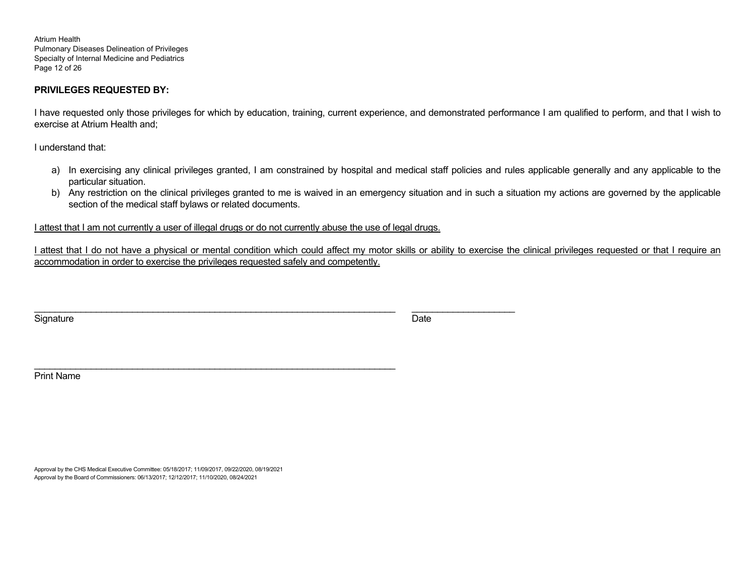Atrium Health Pulmonary Diseases Delineation of Privileges Specialty of Internal Medicine and Pediatrics Page 12 of 26

# **PRIVILEGES REQUESTED BY:**

I have requested only those privileges for which by education, training, current experience, and demonstrated performance I am qualified to perform, and that I wish to exercise at Atrium Health and;

I understand that:

- a) In exercising any clinical privileges granted, I am constrained by hospital and medical staff policies and rules applicable generally and any applicable to the particular situation.
- b) Any restriction on the clinical privileges granted to me is waived in an emergency situation and in such a situation my actions are governed by the applicable section of the medical staff bylaws or related documents.

I attest that I am not currently a user of illegal drugs or do not currently abuse the use of legal drugs.

I attest that I do not have a physical or mental condition which could affect my motor skills or ability to exercise the clinical privileges requested or that I require an accommodation in order to exercise the privileges requested safely and competently.

Signature Date of the Date of the Date of the Date of the Date of the Date of the Date of the Date of the Date

Print Name

Approval by the CHS Medical Executive Committee: 05/18/2017; 11/09/2017, 09/22/2020, 08/19/2021 Approval by the Board of Commissioners: 06/13/2017; 12/12/2017; 11/10/2020, 08/24/2021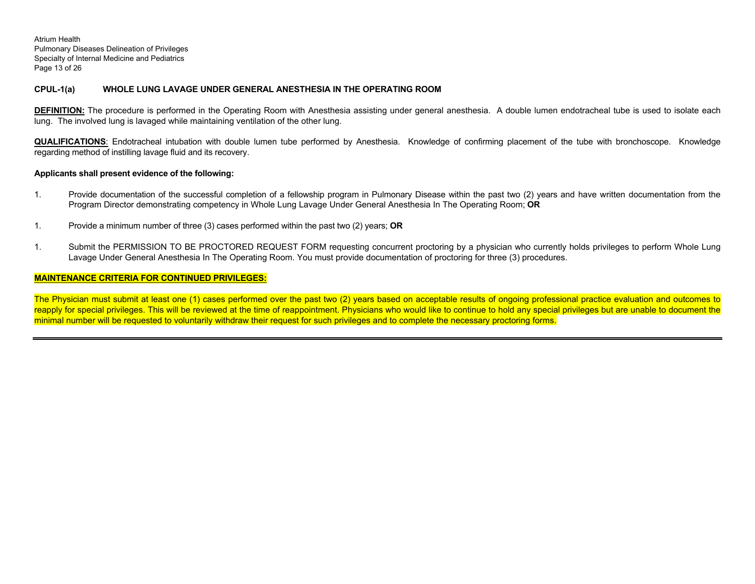Atrium Health Pulmonary Diseases Delineation of Privileges Specialty of Internal Medicine and Pediatrics Page 13 of 26

### **CPUL-1(a) WHOLE LUNG LAVAGE UNDER GENERAL ANESTHESIA IN THE OPERATING ROOM**

**DEFINITION:** The procedure is performed in the Operating Room with Anesthesia assisting under general anesthesia. A double lumen endotracheal tube is used to isolate each lung. The involved lung is lavaged while maintaining ventilation of the other lung.

**QUALIFICATIONS**: Endotracheal intubation with double lumen tube performed by Anesthesia. Knowledge of confirming placement of the tube with bronchoscope. Knowledge regarding method of instilling lavage fluid and its recovery.

#### **Applicants shall present evidence of the following:**

- 1. Provide documentation of the successful completion of a fellowship program in Pulmonary Disease within the past two (2) years and have written documentation from the Program Director demonstrating competency in Whole Lung Lavage Under General Anesthesia In The Operating Room; **OR**
- 1. Provide a minimum number of three (3) cases performed within the past two (2) years; **OR**
- 1. Submit the PERMISSION TO BE PROCTORED REQUEST FORM requesting concurrent proctoring by a physician who currently holds privileges to perform Whole Lung Lavage Under General Anesthesia In The Operating Room. You must provide documentation of proctoring for three (3) procedures.

# **MAINTENANCE CRITERIA FOR CONTINUED PRIVILEGES:**

The Physician must submit at least one (1) cases performed over the past two (2) years based on acceptable results of ongoing professional practice evaluation and outcomes to reapply for special privileges. This will be reviewed at the time of reappointment. Physicians who would like to continue to hold any special privileges but are unable to document the minimal number will be requested to voluntarily withdraw their request for such privileges and to complete the necessary proctoring forms.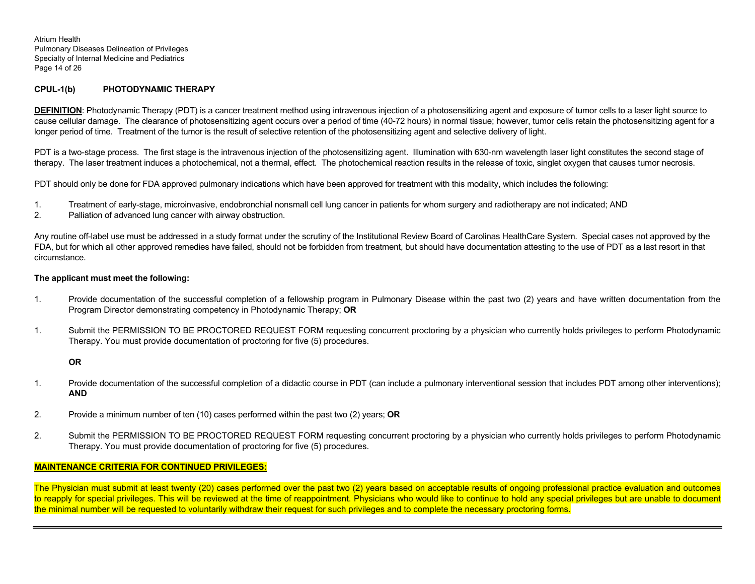Atrium Health Pulmonary Diseases Delineation of Privileges Specialty of Internal Medicine and Pediatrics Page 14 of 26

# **CPUL-1(b) PHOTODYNAMIC THERAPY**

**DEFINITION**: Photodynamic Therapy (PDT) is a cancer treatment method using intravenous injection of a photosensitizing agent and exposure of tumor cells to a laser light source to cause cellular damage. The clearance of photosensitizing agent occurs over a period of time (40-72 hours) in normal tissue; however, tumor cells retain the photosensitizing agent for a longer period of time. Treatment of the tumor is the result of selective retention of the photosensitizing agent and selective delivery of light.

PDT is a two-stage process. The first stage is the intravenous injection of the photosensitizing agent. Illumination with 630-nm wavelength laser light constitutes the second stage of therapy. The laser treatment induces a photochemical, not a thermal, effect. The photochemical reaction results in the release of toxic, singlet oxygen that causes tumor necrosis.

PDT should only be done for FDA approved pulmonary indications which have been approved for treatment with this modality, which includes the following:

- 1. Treatment of early-stage, microinvasive, endobronchial nonsmall cell lung cancer in patients for whom surgery and radiotherapy are not indicated; AND
- 2. Palliation of advanced lung cancer with airway obstruction.

Any routine off-label use must be addressed in a study format under the scrutiny of the Institutional Review Board of Carolinas HealthCare System. Special cases not approved by the FDA, but for which all other approved remedies have failed, should not be forbidden from treatment, but should have documentation attesting to the use of PDT as a last resort in that circumstance.

# **The applicant must meet the following:**

- 1. Provide documentation of the successful completion of a fellowship program in Pulmonary Disease within the past two (2) years and have written documentation from the Program Director demonstrating competency in Photodynamic Therapy; **OR**
- 1. Submit the PERMISSION TO BE PROCTORED REQUEST FORM requesting concurrent proctoring by a physician who currently holds privileges to perform Photodynamic Therapy. You must provide documentation of proctoring for five (5) procedures.

# **OR**

- 1. Provide documentation of the successful completion of a didactic course in PDT (can include a pulmonary interventional session that includes PDT among other interventions); **AND**
- 2. Provide a minimum number of ten (10) cases performed within the past two (2) years; **OR**
- 2. Submit the PERMISSION TO BE PROCTORED REQUEST FORM requesting concurrent proctoring by a physician who currently holds privileges to perform Photodynamic Therapy. You must provide documentation of proctoring for five (5) procedures.

# **MAINTENANCE CRITERIA FOR CONTINUED PRIVILEGES:**

The Physician must submit at least twenty (20) cases performed over the past two (2) years based on acceptable results of ongoing professional practice evaluation and outcomes to reapply for special privileges. This will be reviewed at the time of reappointment. Physicians who would like to continue to hold any special privileges but are unable to document the minimal number will be requested to voluntarily withdraw their request for such privileges and to complete the necessary proctoring forms.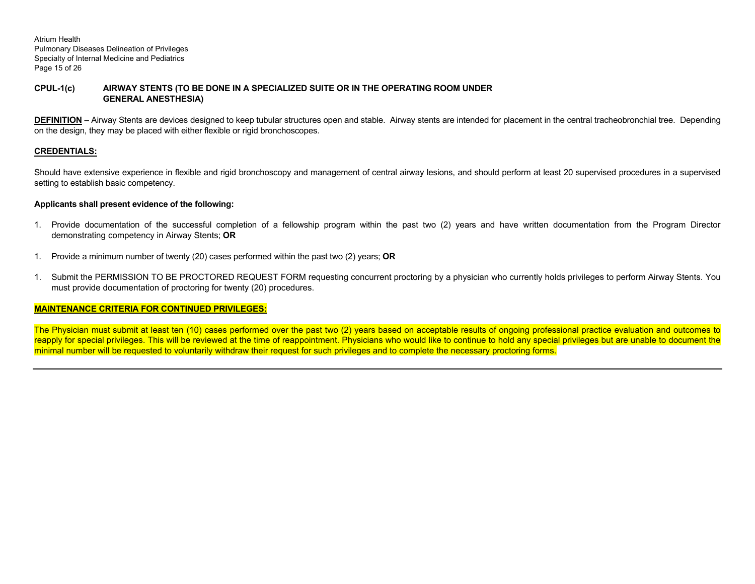Atrium Health Pulmonary Diseases Delineation of Privileges Specialty of Internal Medicine and Pediatrics Page 15 of 26

# **CPUL-1(c) AIRWAY STENTS (TO BE DONE IN A SPECIALIZED SUITE OR IN THE OPERATING ROOM UNDER GENERAL ANESTHESIA)**

**DEFINITION** – Airway Stents are devices designed to keep tubular structures open and stable. Airway stents are intended for placement in the central tracheobronchial tree. Depending on the design, they may be placed with either flexible or rigid bronchoscopes.

# **CREDENTIALS:**

Should have extensive experience in flexible and rigid bronchoscopy and management of central airway lesions, and should perform at least 20 supervised procedures in a supervised setting to establish basic competency.

# **Applicants shall present evidence of the following:**

- 1. Provide documentation of the successful completion of a fellowship program within the past two (2) years and have written documentation from the Program Director demonstrating competency in Airway Stents; **OR**
- 1. Provide a minimum number of twenty (20) cases performed within the past two (2) years; **OR**
- 1. Submit the PERMISSION TO BE PROCTORED REQUEST FORM requesting concurrent proctoring by a physician who currently holds privileges to perform Airway Stents. You must provide documentation of proctoring for twenty (20) procedures.

# **MAINTENANCE CRITERIA FOR CONTINUED PRIVILEGES:**

The Physician must submit at least ten (10) cases performed over the past two (2) years based on acceptable results of ongoing professional practice evaluation and outcomes to reapply for special privileges. This will be reviewed at the time of reappointment. Physicians who would like to continue to hold any special privileges but are unable to document the minimal number will be requested to voluntarily withdraw their request for such privileges and to complete the necessary proctoring forms.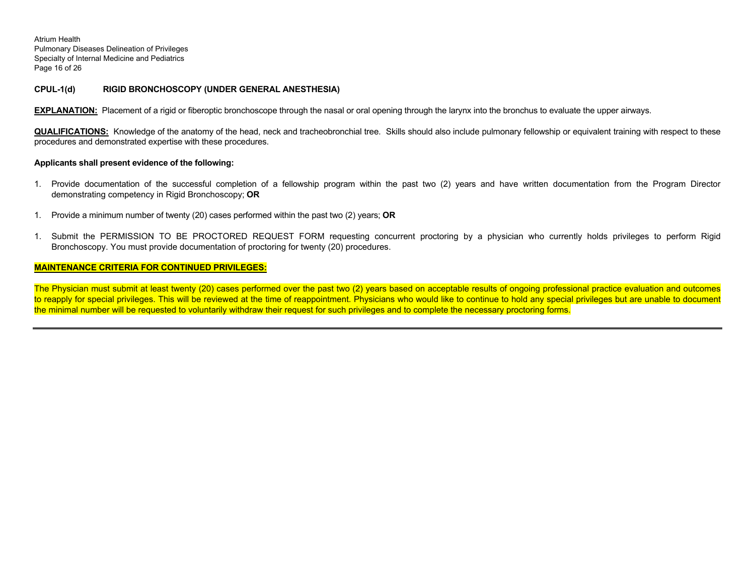Atrium Health Pulmonary Diseases Delineation of Privileges Specialty of Internal Medicine and Pediatrics Page 16 of 26

#### **CPUL-1(d) RIGID BRONCHOSCOPY (UNDER GENERAL ANESTHESIA)**

**EXPLANATION:** Placement of a rigid or fiberoptic bronchoscope through the nasal or oral opening through the larynx into the bronchus to evaluate the upper airways.

**QUALIFICATIONS:** Knowledge of the anatomy of the head, neck and tracheobronchial tree. Skills should also include pulmonary fellowship or equivalent training with respect to these procedures and demonstrated expertise with these procedures.

#### **Applicants shall present evidence of the following:**

- 1. Provide documentation of the successful completion of a fellowship program within the past two (2) years and have written documentation from the Program Director demonstrating competency in Rigid Bronchoscopy; **OR**
- 1. Provide a minimum number of twenty (20) cases performed within the past two (2) years; **OR**
- 1. Submit the PERMISSION TO BE PROCTORED REQUEST FORM requesting concurrent proctoring by a physician who currently holds privileges to perform Rigid Bronchoscopy. You must provide documentation of proctoring for twenty (20) procedures.

#### **MAINTENANCE CRITERIA FOR CONTINUED PRIVILEGES:**

The Physician must submit at least twenty (20) cases performed over the past two (2) years based on acceptable results of ongoing professional practice evaluation and outcomes to reapply for special privileges. This will be reviewed at the time of reappointment. Physicians who would like to continue to hold any special privileges but are unable to document the minimal number will be requested to voluntarily withdraw their request for such privileges and to complete the necessary proctoring forms.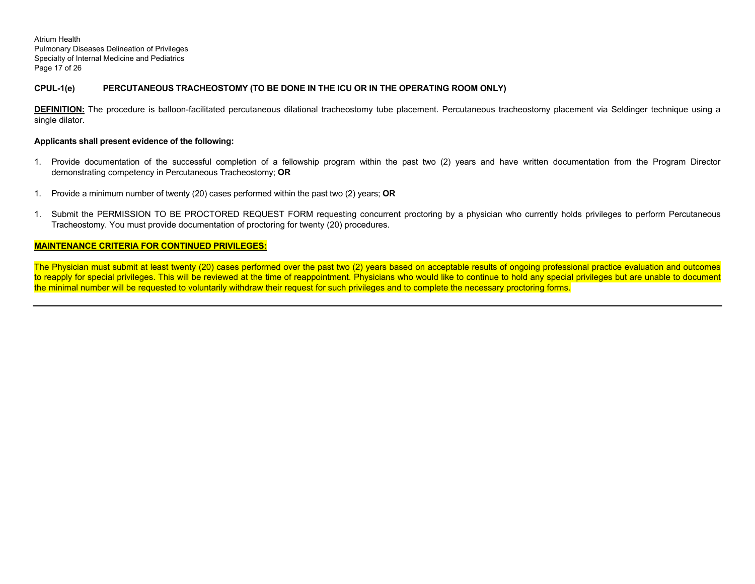Atrium Health Pulmonary Diseases Delineation of Privileges Specialty of Internal Medicine and Pediatrics Page 17 of 26

# **CPUL-1(e) PERCUTANEOUS TRACHEOSTOMY (TO BE DONE IN THE ICU OR IN THE OPERATING ROOM ONLY)**

**DEFINITION:** The procedure is balloon-facilitated percutaneous dilational tracheostomy tube placement. Percutaneous tracheostomy placement via Seldinger technique using a single dilator.

#### **Applicants shall present evidence of the following:**

- 1. Provide documentation of the successful completion of a fellowship program within the past two (2) years and have written documentation from the Program Director demonstrating competency in Percutaneous Tracheostomy; **OR**
- 1. Provide a minimum number of twenty (20) cases performed within the past two (2) years; **OR**
- 1. Submit the PERMISSION TO BE PROCTORED REQUEST FORM requesting concurrent proctoring by a physician who currently holds privileges to perform Percutaneous Tracheostomy. You must provide documentation of proctoring for twenty (20) procedures.

#### **MAINTENANCE CRITERIA FOR CONTINUED PRIVILEGES:**

The Physician must submit at least twenty (20) cases performed over the past two (2) years based on acceptable results of ongoing professional practice evaluation and outcomes to reapply for special privileges. This will be reviewed at the time of reappointment. Physicians who would like to continue to hold any special privileges but are unable to document the minimal number will be requested to voluntarily withdraw their request for such privileges and to complete the necessary proctoring forms.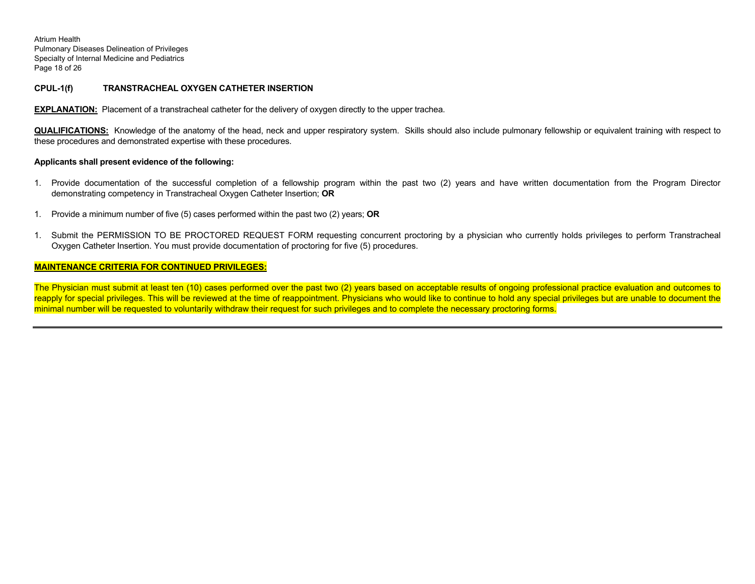Atrium Health Pulmonary Diseases Delineation of Privileges Specialty of Internal Medicine and Pediatrics Page 18 of 26

### **CPUL-1(f) TRANSTRACHEAL OXYGEN CATHETER INSERTION**

**EXPLANATION:** Placement of a transtracheal catheter for the delivery of oxygen directly to the upper trachea.

**QUALIFICATIONS:** Knowledge of the anatomy of the head, neck and upper respiratory system. Skills should also include pulmonary fellowship or equivalent training with respect to these procedures and demonstrated expertise with these procedures.

#### **Applicants shall present evidence of the following:**

- 1. Provide documentation of the successful completion of a fellowship program within the past two (2) years and have written documentation from the Program Director demonstrating competency in Transtracheal Oxygen Catheter Insertion; **OR**
- 1. Provide a minimum number of five (5) cases performed within the past two (2) years; **OR**
- 1. Submit the PERMISSION TO BE PROCTORED REQUEST FORM requesting concurrent proctoring by a physician who currently holds privileges to perform Transtracheal Oxygen Catheter Insertion. You must provide documentation of proctoring for five (5) procedures.

#### **MAINTENANCE CRITERIA FOR CONTINUED PRIVILEGES:**

The Physician must submit at least ten (10) cases performed over the past two (2) years based on acceptable results of ongoing professional practice evaluation and outcomes to reapply for special privileges. This will be reviewed at the time of reappointment. Physicians who would like to continue to hold any special privileges but are unable to document the minimal number will be requested to voluntarily withdraw their request for such privileges and to complete the necessary proctoring forms.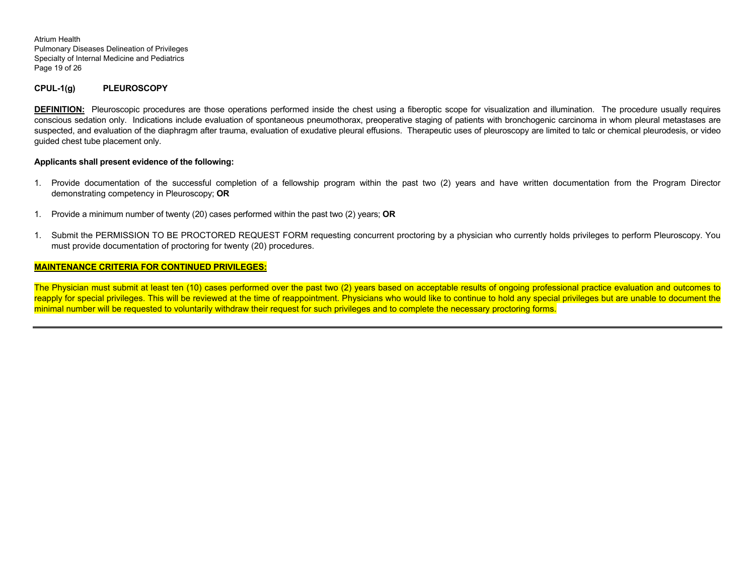Atrium Health Pulmonary Diseases Delineation of Privileges Specialty of Internal Medicine and Pediatrics Page 19 of 26

#### **CPUL-1(g) PLEUROSCOPY**

**DEFINITION:** Pleuroscopic procedures are those operations performed inside the chest using a fiberoptic scope for visualization and illumination. The procedure usually requires conscious sedation only. Indications include evaluation of spontaneous pneumothorax, preoperative staging of patients with bronchogenic carcinoma in whom pleural metastases are suspected, and evaluation of the diaphragm after trauma, evaluation of exudative pleural effusions. Therapeutic uses of pleuroscopy are limited to talc or chemical pleurodesis, or video guided chest tube placement only.

#### **Applicants shall present evidence of the following:**

- 1. Provide documentation of the successful completion of a fellowship program within the past two (2) years and have written documentation from the Program Director demonstrating competency in Pleuroscopy; **OR**
- 1. Provide a minimum number of twenty (20) cases performed within the past two (2) years; **OR**
- 1. Submit the PERMISSION TO BE PROCTORED REQUEST FORM requesting concurrent proctoring by a physician who currently holds privileges to perform Pleuroscopy. You must provide documentation of proctoring for twenty (20) procedures.

#### **MAINTENANCE CRITERIA FOR CONTINUED PRIVILEGES:**

The Physician must submit at least ten (10) cases performed over the past two (2) years based on acceptable results of ongoing professional practice evaluation and outcomes to reapply for special privileges. This will be reviewed at the time of reappointment. Physicians who would like to continue to hold any special privileges but are unable to document the minimal number will be requested to voluntarily withdraw their request for such privileges and to complete the necessary proctoring forms.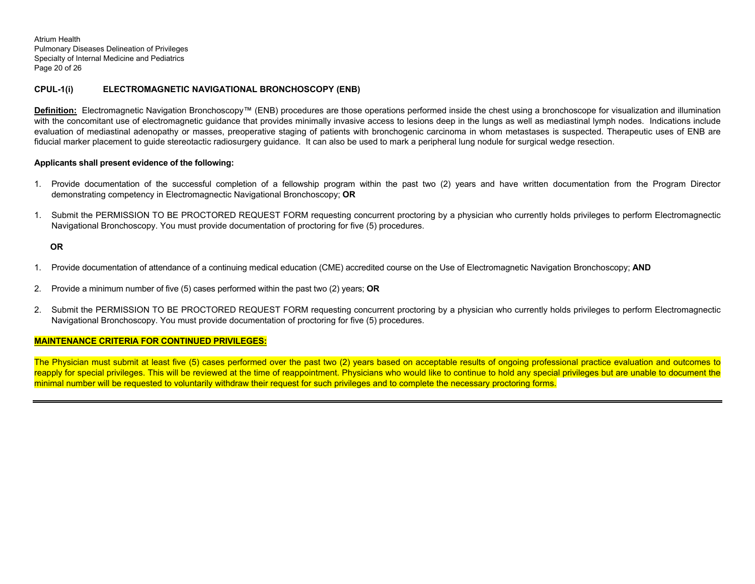Atrium Health Pulmonary Diseases Delineation of Privileges Specialty of Internal Medicine and Pediatrics Page 20 of 26

# **CPUL-1(i) ELECTROMAGNETIC NAVIGATIONAL BRONCHOSCOPY (ENB)**

**Definition:** Electromagnetic Navigation Bronchoscopy™ (ENB) procedures are those operations performed inside the chest using a bronchoscope for visualization and illumination with the concomitant use of electromagnetic guidance that provides minimally invasive access to lesions deep in the lungs as well as mediastinal lymph nodes. Indications include evaluation of mediastinal adenopathy or masses, preoperative staging of patients with bronchogenic carcinoma in whom metastases is suspected. Therapeutic uses of ENB are fiducial marker placement to guide stereotactic radiosurgery guidance. It can also be used to mark a peripheral lung nodule for surgical wedge resection.

# **Applicants shall present evidence of the following:**

- 1. Provide documentation of the successful completion of a fellowship program within the past two (2) years and have written documentation from the Program Director demonstrating competency in Electromagnectic Navigational Bronchoscopy; **OR**
- 1. Submit the PERMISSION TO BE PROCTORED REQUEST FORM requesting concurrent proctoring by a physician who currently holds privileges to perform Electromagnectic Navigational Bronchoscopy. You must provide documentation of proctoring for five (5) procedures.

# **OR**

- 1. Provide documentation of attendance of a continuing medical education (CME) accredited course on the Use of Electromagnetic Navigation Bronchoscopy; **AND**
- 2. Provide a minimum number of five (5) cases performed within the past two (2) years; **OR**
- 2. Submit the PERMISSION TO BE PROCTORED REQUEST FORM requesting concurrent proctoring by a physician who currently holds privileges to perform Electromagnectic Navigational Bronchoscopy. You must provide documentation of proctoring for five (5) procedures.

# **MAINTENANCE CRITERIA FOR CONTINUED PRIVILEGES:**

The Physician must submit at least five (5) cases performed over the past two (2) years based on acceptable results of ongoing professional practice evaluation and outcomes to reapply for special privileges. This will be reviewed at the time of reappointment. Physicians who would like to continue to hold any special privileges but are unable to document the minimal number will be requested to voluntarily withdraw their request for such privileges and to complete the necessary proctoring forms.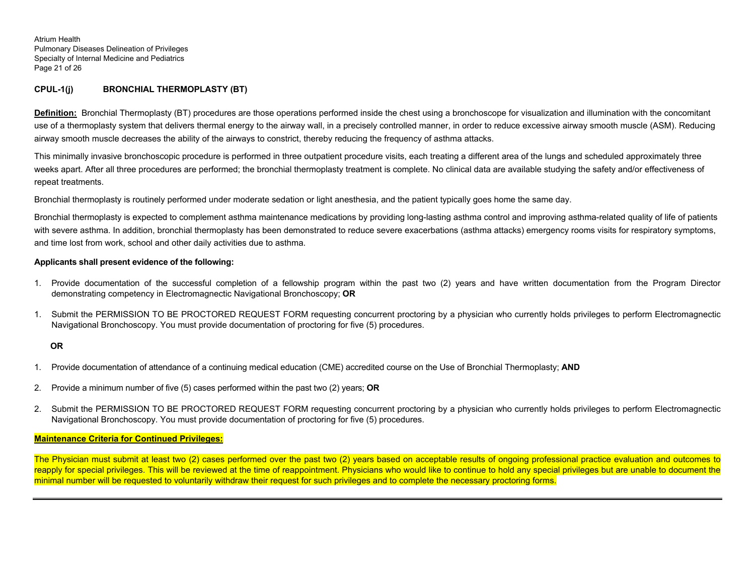Atrium Health Pulmonary Diseases Delineation of Privileges Specialty of Internal Medicine and Pediatrics Page 21 of 26

# **CPUL-1(j) BRONCHIAL THERMOPLASTY (BT)**

**Definition:** Bronchial Thermoplasty (BT) procedures are those operations performed inside the chest using a bronchoscope for visualization and illumination with the concomitant use of a thermoplasty system that delivers thermal energy to the airway wall, in a precisely controlled manner, in order to reduce excessive airway smooth muscle (ASM). Reducing airway smooth muscle decreases the ability of the airways to constrict, thereby reducing the frequency of asthma attacks.

This minimally invasive bronchoscopic procedure is performed in three outpatient procedure visits, each treating a different area of the lungs and scheduled approximately three weeks apart. After all three procedures are performed; the bronchial thermoplasty treatment is complete. No clinical data are available studying the safety and/or effectiveness of repeat treatments.

Bronchial thermoplasty is routinely performed under moderate sedation or light anesthesia, and the patient typically goes home the same day.

Bronchial thermoplasty is expected to complement asthma maintenance medications by providing long-lasting asthma control and improving asthma-related quality of life of patients with severe asthma. In addition, bronchial thermoplasty has been demonstrated to reduce severe exacerbations (asthma attacks) emergency rooms visits for respiratory symptoms, and time lost from work, school and other daily activities due to asthma.

# **Applicants shall present evidence of the following:**

- 1. Provide documentation of the successful completion of a fellowship program within the past two (2) years and have written documentation from the Program Director demonstrating competency in Electromagnectic Navigational Bronchoscopy; **OR**
- 1. Submit the PERMISSION TO BE PROCTORED REQUEST FORM requesting concurrent proctoring by a physician who currently holds privileges to perform Electromagnectic Navigational Bronchoscopy. You must provide documentation of proctoring for five (5) procedures.

# **OR**

- 1. Provide documentation of attendance of a continuing medical education (CME) accredited course on the Use of Bronchial Thermoplasty; **AND**
- 2. Provide a minimum number of five (5) cases performed within the past two (2) years; **OR**
- 2. Submit the PERMISSION TO BE PROCTORED REQUEST FORM requesting concurrent proctoring by a physician who currently holds privileges to perform Electromagnectic Navigational Bronchoscopy. You must provide documentation of proctoring for five (5) procedures.

#### **Maintenance Criteria for Continued Privileges:**

The Physician must submit at least two (2) cases performed over the past two (2) years based on acceptable results of ongoing professional practice evaluation and outcomes to reapply for special privileges. This will be reviewed at the time of reappointment. Physicians who would like to continue to hold any special privileges but are unable to document the minimal number will be requested to voluntarily withdraw their request for such privileges and to complete the necessary proctoring forms.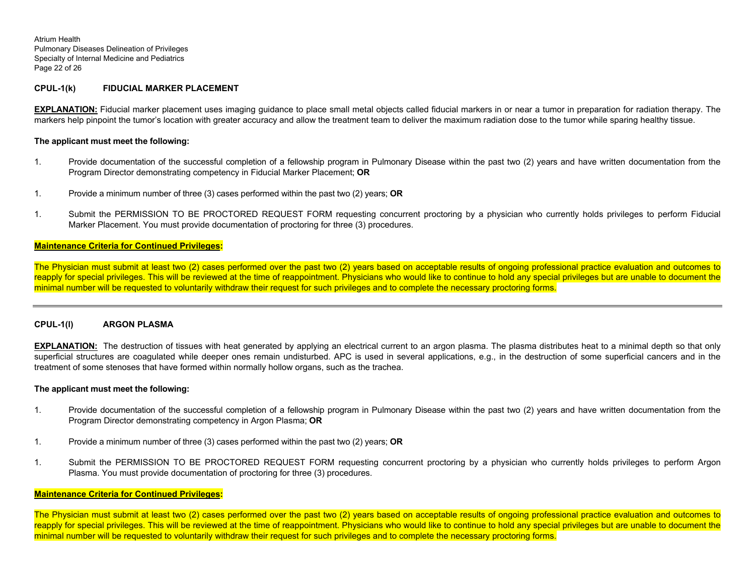Atrium Health Pulmonary Diseases Delineation of Privileges Specialty of Internal Medicine and Pediatrics Page 22 of 26

### **CPUL-1(k) FIDUCIAL MARKER PLACEMENT**

**EXPLANATION:** Fiducial marker placement uses imaging guidance to place small metal objects called fiducial markers in or near a tumor in preparation for radiation therapy. The markers help pinpoint the tumor's location with greater accuracy and allow the treatment team to deliver the maximum radiation dose to the tumor while sparing healthy tissue.

#### **The applicant must meet the following:**

- 1. Provide documentation of the successful completion of a fellowship program in Pulmonary Disease within the past two (2) years and have written documentation from the Program Director demonstrating competency in Fiducial Marker Placement; **OR**
- 1. Provide a minimum number of three (3) cases performed within the past two (2) years; **OR**
- 1. Submit the PERMISSION TO BE PROCTORED REQUEST FORM requesting concurrent proctoring by a physician who currently holds privileges to perform Fiducial Marker Placement. You must provide documentation of proctoring for three (3) procedures.

# **Maintenance Criteria for Continued Privileges:**

The Physician must submit at least two (2) cases performed over the past two (2) years based on acceptable results of ongoing professional practice evaluation and outcomes to reapply for special privileges. This will be reviewed at the time of reappointment. Physicians who would like to continue to hold any special privileges but are unable to document the minimal number will be requested to voluntarily withdraw their request for such privileges and to complete the necessary proctoring forms.

#### **CPUL-1(l) ARGON PLASMA**

**EXPLANATION:** The destruction of tissues with heat generated by applying an electrical current to an argon plasma. The plasma distributes heat to a minimal depth so that only superficial structures are coagulated while deeper ones remain undisturbed. APC is used in several applications, e.g., in the destruction of some superficial cancers and in the treatment of some stenoses that have formed within normally hollow organs, such as the trachea.

#### **The applicant must meet the following:**

- 1. Provide documentation of the successful completion of a fellowship program in Pulmonary Disease within the past two (2) years and have written documentation from the Program Director demonstrating competency in Argon Plasma; **OR**
- 1. Provide a minimum number of three (3) cases performed within the past two (2) years; **OR**
- 1. Submit the PERMISSION TO BE PROCTORED REQUEST FORM requesting concurrent proctoring by a physician who currently holds privileges to perform Argon Plasma. You must provide documentation of proctoring for three (3) procedures.

#### **Maintenance Criteria for Continued Privileges:**

The Physician must submit at least two (2) cases performed over the past two (2) years based on acceptable results of ongoing professional practice evaluation and outcomes to reapply for special privileges. This will be reviewed at the time of reappointment. Physicians who would like to continue to hold any special privileges but are unable to document the minimal number will be requested to voluntarily withdraw their request for such privileges and to complete the necessary proctoring forms.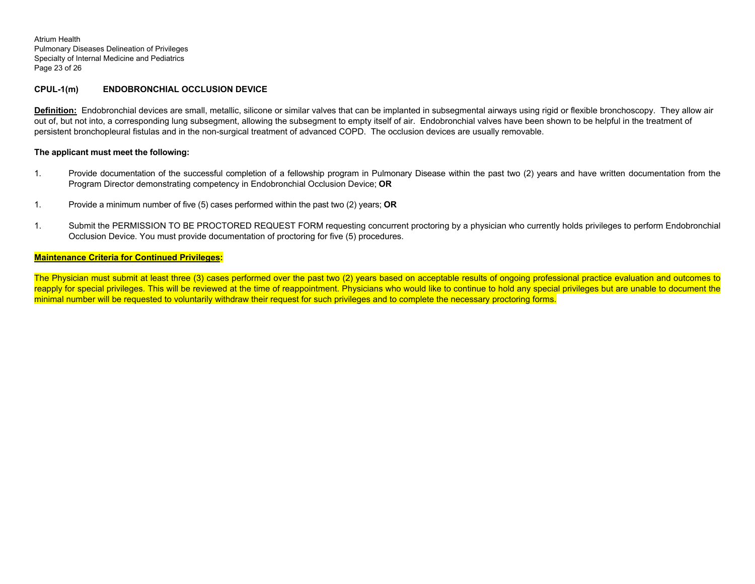Atrium Health Pulmonary Diseases Delineation of Privileges Specialty of Internal Medicine and Pediatrics Page 23 of 26

### **CPUL-1(m) ENDOBRONCHIAL OCCLUSION DEVICE**

**Definition:** Endobronchial devices are small, metallic, silicone or similar valves that can be implanted in subsegmental airways using rigid or flexible bronchoscopy. They allow air out of, but not into, a corresponding lung subsegment, allowing the subsegment to empty itself of air. Endobronchial valves have been shown to be helpful in the treatment of persistent bronchopleural fistulas and in the non-surgical treatment of advanced COPD. The occlusion devices are usually removable.

#### **The applicant must meet the following:**

- 1. Provide documentation of the successful completion of a fellowship program in Pulmonary Disease within the past two (2) years and have written documentation from the Program Director demonstrating competency in Endobronchial Occlusion Device; **OR**
- 1. Provide a minimum number of five (5) cases performed within the past two (2) years; **OR**
- 1. Submit the PERMISSION TO BE PROCTORED REQUEST FORM requesting concurrent proctoring by a physician who currently holds privileges to perform Endobronchial Occlusion Device. You must provide documentation of proctoring for five (5) procedures.

#### **Maintenance Criteria for Continued Privileges:**

The Physician must submit at least three (3) cases performed over the past two (2) years based on acceptable results of ongoing professional practice evaluation and outcomes to reapply for special privileges. This will be reviewed at the time of reappointment. Physicians who would like to continue to hold any special privileges but are unable to document the minimal number will be requested to voluntarily withdraw their request for such privileges and to complete the necessary proctoring forms.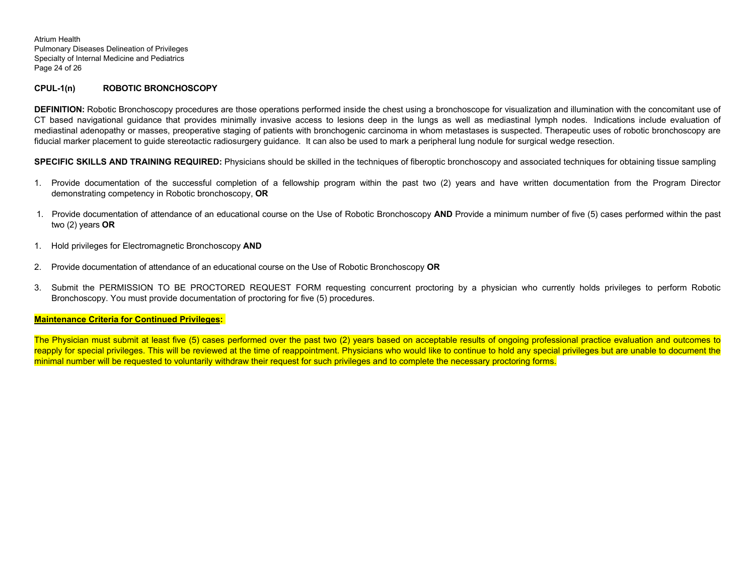Atrium Health Pulmonary Diseases Delineation of Privileges Specialty of Internal Medicine and Pediatrics Page 24 of 26

# **CPUL-1(n) ROBOTIC BRONCHOSCOPY**

**DEFINITION:** Robotic Bronchoscopy procedures are those operations performed inside the chest using a bronchoscope for visualization and illumination with the concomitant use of CT based navigational guidance that provides minimally invasive access to lesions deep in the lungs as well as mediastinal lymph nodes. Indications include evaluation of mediastinal adenopathy or masses, preoperative staging of patients with bronchogenic carcinoma in whom metastases is suspected. Therapeutic uses of robotic bronchoscopy are fiducial marker placement to guide stereotactic radiosurgery guidance. It can also be used to mark a peripheral lung nodule for surgical wedge resection.

**SPECIFIC SKILLS AND TRAINING REQUIRED:** Physicians should be skilled in the techniques of fiberoptic bronchoscopy and associated techniques for obtaining tissue sampling

- 1. Provide documentation of the successful completion of a fellowship program within the past two (2) years and have written documentation from the Program Director demonstrating competency in Robotic bronchoscopy, **OR**
- 1. Provide documentation of attendance of an educational course on the Use of Robotic Bronchoscopy **AND** Provide a minimum number of five (5) cases performed within the past two (2) years **OR**
- 1. Hold privileges for Electromagnetic Bronchoscopy **AND**
- 2. Provide documentation of attendance of an educational course on the Use of Robotic Bronchoscopy **OR**
- 3. Submit the PERMISSION TO BE PROCTORED REQUEST FORM requesting concurrent proctoring by a physician who currently holds privileges to perform Robotic Bronchoscopy. You must provide documentation of proctoring for five (5) procedures.

#### **Maintenance Criteria for Continued Privileges:**

The Physician must submit at least five (5) cases performed over the past two (2) years based on acceptable results of ongoing professional practice evaluation and outcomes to reapply for special privileges. This will be reviewed at the time of reappointment. Physicians who would like to continue to hold any special privileges but are unable to document the minimal number will be requested to voluntarily withdraw their request for such privileges and to complete the necessary proctoring forms.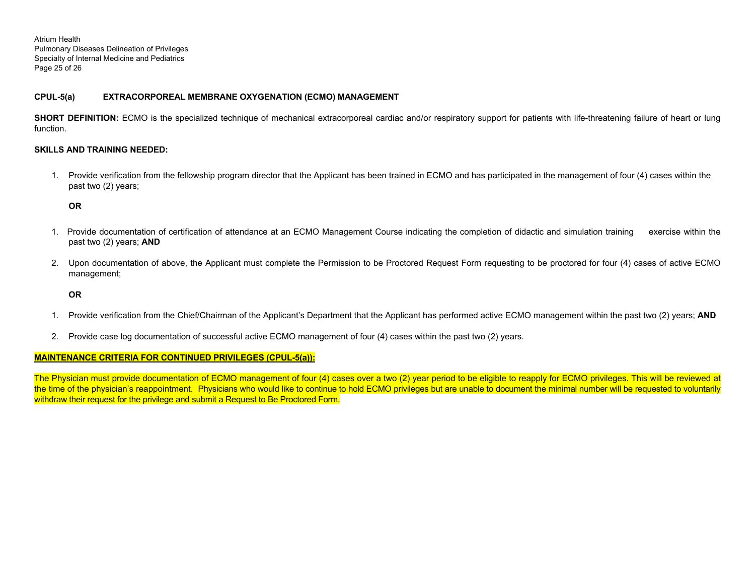Atrium Health Pulmonary Diseases Delineation of Privileges Specialty of Internal Medicine and Pediatrics Page 25 of 26

# **CPUL-5(a) EXTRACORPOREAL MEMBRANE OXYGENATION (ECMO) MANAGEMENT**

**SHORT DEFINITION:** ECMO is the specialized technique of mechanical extracorporeal cardiac and/or respiratory support for patients with life-threatening failure of heart or lung function.

# **SKILLS AND TRAINING NEEDED:**

1. Provide verification from the fellowship program director that the Applicant has been trained in ECMO and has participated in the management of four (4) cases within the past two (2) years;

**OR** 

- 1. Provide documentation of certification of attendance at an ECMO Management Course indicating the completion of didactic and simulation training exercise within the past two (2) years; **AND**
- 2. Upon documentation of above, the Applicant must complete the Permission to be Proctored Request Form requesting to be proctored for four (4) cases of active ECMO management;

# **OR**

- 1. Provide verification from the Chief/Chairman of the Applicant's Department that the Applicant has performed active ECMO management within the past two (2) years; **AND**
- 2. Provide case log documentation of successful active ECMO management of four (4) cases within the past two (2) years.

# **MAINTENANCE CRITERIA FOR CONTINUED PRIVILEGES (CPUL-5(a)):**

The Physician must provide documentation of ECMO management of four (4) cases over a two (2) year period to be eligible to reapply for ECMO privileges. This will be reviewed at the time of the physician's reappointment. Physicians who would like to continue to hold ECMO privileges but are unable to document the minimal number will be requested to voluntarily withdraw their request for the privilege and submit a Request to Be Proctored Form.